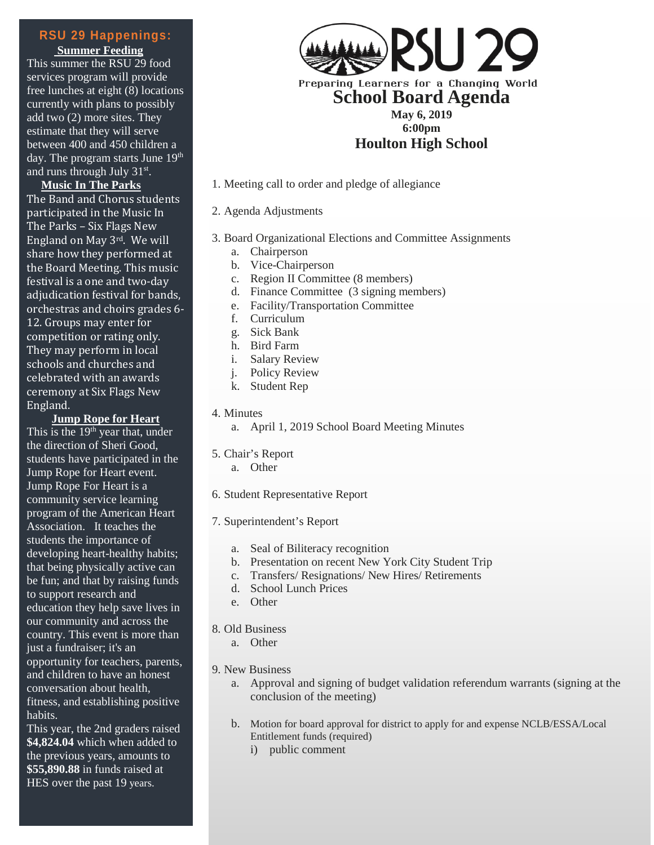**Summer Feeding** This summer the RSU 29 food services program will provide free lunches at eight (8) locations currently with plans to possibly add two (2) more sites. They estimate that they will serve between 400 and 450 children a day. The program starts June 19<sup>th</sup> and runs through July 31st.

**Music In The Parks** The Band and Chorus students participated in the Music In The Parks – Six Flags New England on May 3rd. We will share how they performed at the Board Meeting. This music festival is a one and two-day adjudication festival for bands, orchestras and choirs grades 6- 12. Groups may enter for competition or rating only. They may perform in local schools and churches and celebrated with an awards ceremony at Six Flags New England.

**Jump Rope for Heart**

This is the  $19<sup>th</sup>$  year that, under the direction of Sheri Good, students have participated in the Jump Rope for Heart event. Jump Rope For Heart is a community service learning program of the American Heart Association. It teaches the students the importance of developing heart-healthy habits; that being physically active can be fun; and that by raising funds to support research and education they help save lives in our community and across the country. This event is more than just a fundraiser; it's an opportunity for teachers, parents, and children to have an honest conversation about health, fitness, and establishing positive habits.

This year, the 2nd graders raised **\$4,824.04** which when added to the previous years, amounts to **\$55,890.88** in funds raised at HES over the past 19 years.



1. Meeting call to order and pledge of allegiance

## 2. Agenda Adjustments

- 3. Board Organizational Elections and Committee Assignments
	- a. Chairperson
	- b. Vice-Chairperson
	- c. Region II Committee (8 members)
	- d. Finance Committee (3 signing members)
	- e. Facility/Transportation Committee
	- f. Curriculum
	- g. Sick Bank
	- h. Bird Farm
	- i. Salary Review
	- j. Policy Review
	- k. Student Rep

#### 4. Minutes

a. April 1, 2019 School Board Meeting Minutes

#### 5. Chair's Report

- a. Other
- 6. Student Representative Report

## 7. Superintendent's Report

- a. Seal of Biliteracy recognition
- b. Presentation on recent New York City Student Trip
- c. Transfers/ Resignations/ New Hires/ Retirements
- d. School Lunch Prices
- e. Other

# 8. Old Business

a. Other

## 9. New Business

- a. Approval and signing of budget validation referendum warrants (signing at the conclusion of the meeting)
- b. Motion for board approval for district to apply for and expense NCLB/ESSA/Local Entitlement funds (required)
	- i) public comment